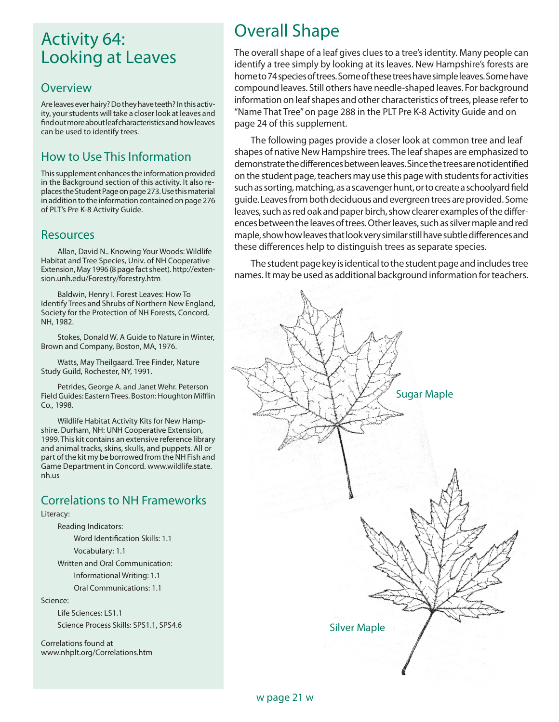## Activity 64: Looking at Leaves

### **Overview**

Are leaves ever hairy? Do they have teeth? In this activity, your students will take a closer look at leaves and find out more about leaf characteristics and how leaves can be used to identify trees.

## How to Use This Information

This supplement enhances the information provided in the Background section of this activity. It also replaces the Student Page on page 273. Use this material in addition to the information contained on page 276 of PLT's Pre K-8 Activity Guide.

### **Resources**

Allan, David N.. Knowing Your Woods: Wildlife Habitat and Tree Species, Univ. of NH Cooperative Extension, May 1996 (8 page fact sheet). http://extension.unh.edu/Forestry/forestry.htm

Baldwin, Henry I. Forest Leaves: How To Identify Trees and Shrubs of Northern New England, Society for the Protection of NH Forests, Concord, NH, 1982.

Stokes, Donald W. A Guide to Nature in Winter, Brown and Company, Boston, MA, 1976.

Watts, May Theilgaard. Tree Finder, Nature Study Guild, Rochester, NY, 1991.

Petrides, George A. and Janet Wehr. Peterson Field Guides: Eastern Trees. Boston: Houghton Mifflin Co., 1998.

Wildlife Habitat Activity Kits for New Hampshire. Durham, NH: UNH Cooperative Extension, 1999. This kit contains an extensive reference library and animal tracks, skins, skulls, and puppets. All or part of the kit my be borrowed from the NH Fish and Game Department in Concord. www.wildlife.state. nh.us

### Correlations to NH Frameworks

#### Literacy:

Reading Indicators:

 Word Identification Skills: 1.1 Vocabulary: 1.1

Written and Oral Communication:

Informational Writing: 1.1

Oral Communications: 1.1

Science:

Life Sciences: LS1.1

Science Process Skills: SPS1.1, SPS4.6

Correlations found at www.nhplt.org/Correlations.htm

# Overall Shape

The overall shape of a leaf gives clues to a tree's identity. Many people can identify a tree simply by looking at its leaves. New Hampshire's forests are home to 74 species of trees. Some of these trees have simple leaves. Some have compound leaves. Still others have needle-shaped leaves. For background information on leaf shapes and other characteristics of trees, please refer to "Name That Tree" on page 288 in the PLT Pre K-8 Activity Guide and on page 24 of this supplement.

The following pages provide a closer look at common tree and leaf shapes of native New Hampshire trees. The leaf shapes are emphasized to demonstrate the differences between leaves. Since the trees are not identified on the student page, teachers may use this page with students for activities such as sorting, matching, as a scavenger hunt, or to create a schoolyard field guide. Leaves from both deciduous and evergreen trees are provided. Some leaves, such as red oak and paper birch, show clearer examples of the differences between the leaves of trees. Other leaves, such as silver maple and red maple, show how leaves that look very similar still have subtle differences and these differences help to distinguish trees as separate species.

The student page key is identical to the student page and includes tree names. It may be used as additional background information for teachers.



#### w page 21 w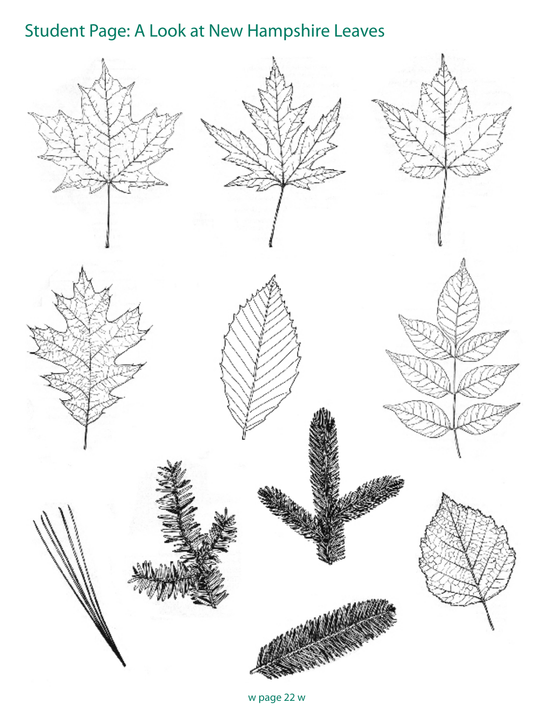# Student Page: A Look at New Hampshire Leaves



w page 22 w